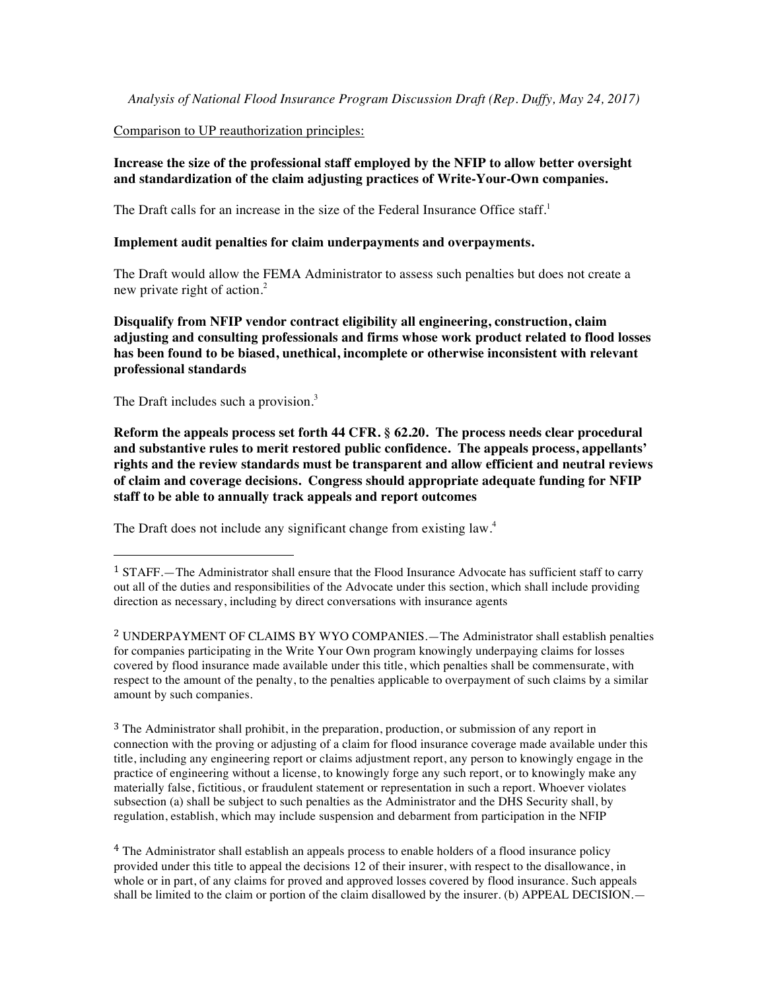*Analysis of National Flood Insurance Program Discussion Draft (Rep. Duffy, May 24, 2017)*

#### Comparison to UP reauthorization principles:

# **Increase the size of the professional staff employed by the NFIP to allow better oversight and standardization of the claim adjusting practices of Write-Your-Own companies.**

The Draft calls for an increase in the size of the Federal Insurance Office staff.<sup>1</sup>

#### **Implement audit penalties for claim underpayments and overpayments.**

The Draft would allow the FEMA Administrator to assess such penalties but does not create a new private right of action.<sup>2</sup>

**Disqualify from NFIP vendor contract eligibility all engineering, construction, claim adjusting and consulting professionals and firms whose work product related to flood losses has been found to be biased, unethical, incomplete or otherwise inconsistent with relevant professional standards**

The Draft includes such a provision.<sup>3</sup>

 

**Reform the appeals process set forth 44 CFR. § 62.20. The process needs clear procedural and substantive rules to merit restored public confidence. The appeals process, appellants' rights and the review standards must be transparent and allow efficient and neutral reviews of claim and coverage decisions. Congress should appropriate adequate funding for NFIP staff to be able to annually track appeals and report outcomes**

The Draft does not include any significant change from existing law.<sup>4</sup>

<sup>3</sup> The Administrator shall prohibit, in the preparation, production, or submission of any report in connection with the proving or adjusting of a claim for flood insurance coverage made available under this title, including any engineering report or claims adjustment report, any person to knowingly engage in the practice of engineering without a license, to knowingly forge any such report, or to knowingly make any materially false, fictitious, or fraudulent statement or representation in such a report. Whoever violates subsection (a) shall be subject to such penalties as the Administrator and the DHS Security shall, by regulation, establish, which may include suspension and debarment from participation in the NFIP

<sup>4</sup> The Administrator shall establish an appeals process to enable holders of a flood insurance policy provided under this title to appeal the decisions 12 of their insurer, with respect to the disallowance, in whole or in part, of any claims for proved and approved losses covered by flood insurance. Such appeals shall be limited to the claim or portion of the claim disallowed by the insurer. (b) APPEAL DECISION.—

<sup>1</sup> STAFF.—The Administrator shall ensure that the Flood Insurance Advocate has sufficient staff to carry out all of the duties and responsibilities of the Advocate under this section, which shall include providing direction as necessary, including by direct conversations with insurance agents

<sup>2</sup> UNDERPAYMENT OF CLAIMS BY WYO COMPANIES.—The Administrator shall establish penalties for companies participating in the Write Your Own program knowingly underpaying claims for losses covered by flood insurance made available under this title, which penalties shall be commensurate, with respect to the amount of the penalty, to the penalties applicable to overpayment of such claims by a similar amount by such companies.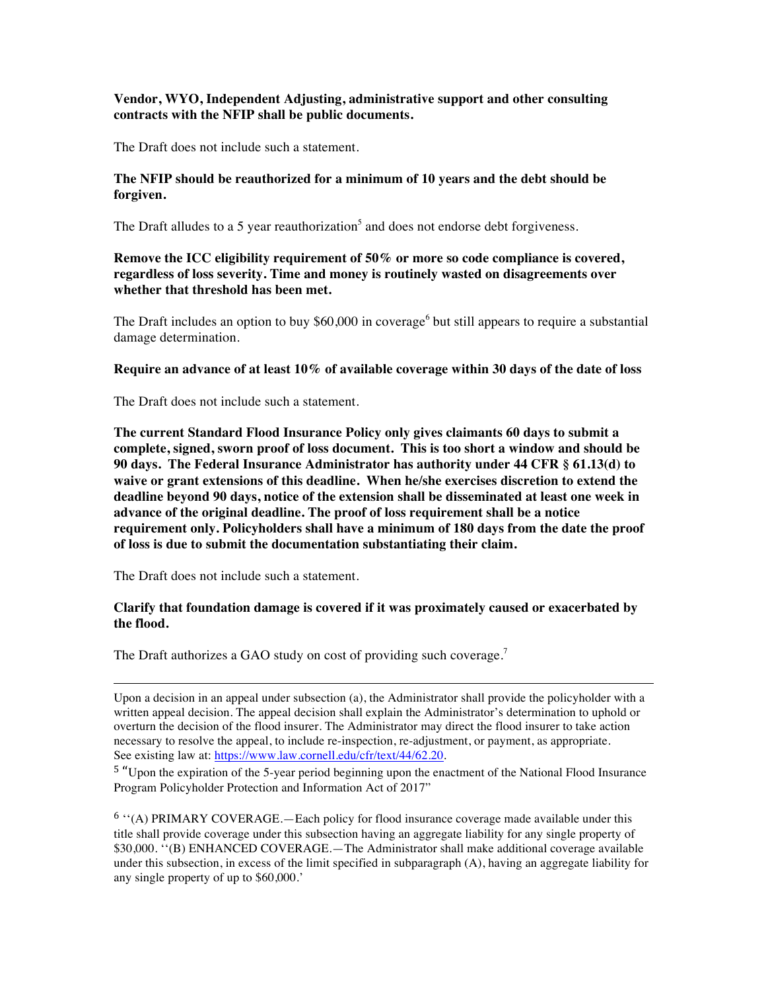# **Vendor, WYO, Independent Adjusting, administrative support and other consulting contracts with the NFIP shall be public documents.**

The Draft does not include such a statement.

#### **The NFIP should be reauthorized for a minimum of 10 years and the debt should be forgiven.**

The Draft alludes to a 5 year reauthorization<sup>5</sup> and does not endorse debt forgiveness.

# **Remove the ICC eligibility requirement of 50% or more so code compliance is covered, regardless of loss severity. Time and money is routinely wasted on disagreements over whether that threshold has been met.**

The Draft includes an option to buy  $$60,000$  in coverage<sup>6</sup> but still appears to require a substantial damage determination.

**Require an advance of at least 10% of available coverage within 30 days of the date of loss**

The Draft does not include such a statement.

**The current Standard Flood Insurance Policy only gives claimants 60 days to submit a complete, signed, sworn proof of loss document. This is too short a window and should be 90 days. The Federal Insurance Administrator has authority under 44 CFR § 61.13(d) to waive or grant extensions of this deadline. When he/she exercises discretion to extend the deadline beyond 90 days, notice of the extension shall be disseminated at least one week in advance of the original deadline. The proof of loss requirement shall be a notice requirement only. Policyholders shall have a minimum of 180 days from the date the proof of loss is due to submit the documentation substantiating their claim.**

The Draft does not include such a statement.

#### **Clarify that foundation damage is covered if it was proximately caused or exacerbated by the flood.**

The Draft authorizes a GAO study on cost of providing such coverage.<sup>7</sup>

<u> 1989 - Andrea Santa Andrea Andrea Andrea Andrea Andrea Andrea Andrea Andrea Andrea Andrea Andrea Andrea Andr</u>

<sup>5</sup> "Upon the expiration of the 5-year period beginning upon the enactment of the National Flood Insurance Program Policyholder Protection and Information Act of 2017"

<sup>6</sup> ''(A) PRIMARY COVERAGE.—Each policy for flood insurance coverage made available under this title shall provide coverage under this subsection having an aggregate liability for any single property of \$30,000. ''(B) ENHANCED COVERAGE.—The Administrator shall make additional coverage available under this subsection, in excess of the limit specified in subparagraph (A), having an aggregate liability for any single property of up to \$60,000.'

Upon a decision in an appeal under subsection (a), the Administrator shall provide the policyholder with a written appeal decision. The appeal decision shall explain the Administrator's determination to uphold or overturn the decision of the flood insurer. The Administrator may direct the flood insurer to take action necessary to resolve the appeal, to include re-inspection, re-adjustment, or payment, as appropriate. See existing law at: https://www.law.cornell.edu/cfr/text/44/62.20.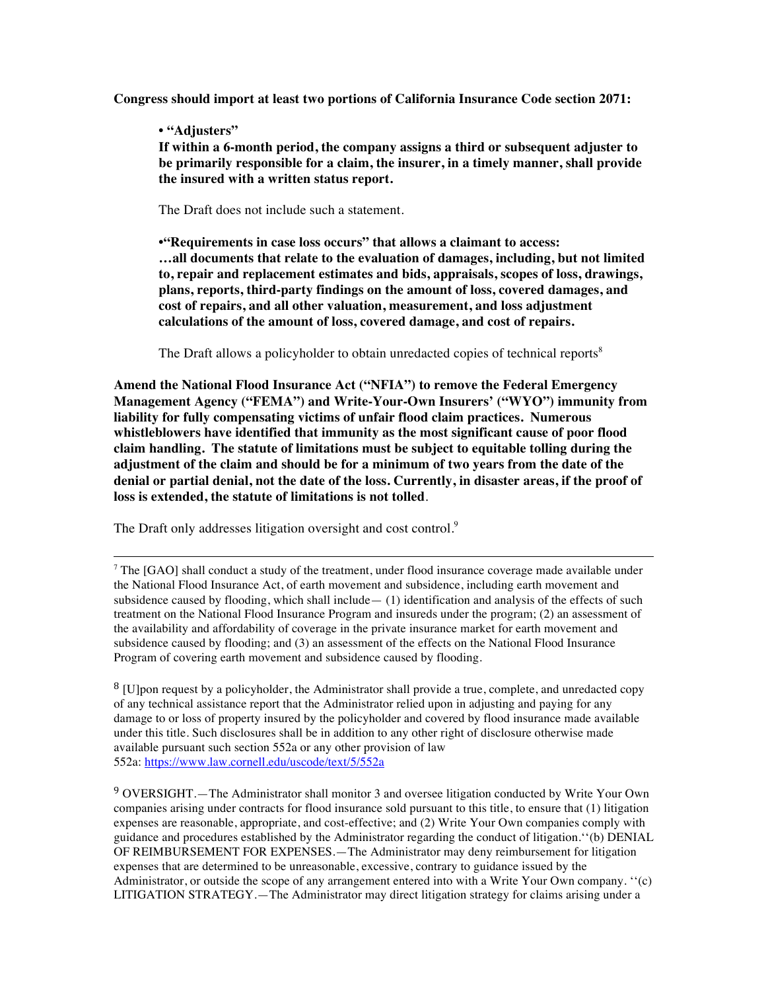**Congress should import at least two portions of California Insurance Code section 2071:**

### **• "Adjusters"**

**If within a 6-month period, the company assigns a third or subsequent adjuster to be primarily responsible for a claim, the insurer, in a timely manner, shall provide the insured with a written status report.**

The Draft does not include such a statement.

**•"Requirements in case loss occurs" that allows a claimant to access: …all documents that relate to the evaluation of damages, including, but not limited to, repair and replacement estimates and bids, appraisals, scopes of loss, drawings, plans, reports, third-party findings on the amount of loss, covered damages, and cost of repairs, and all other valuation, measurement, and loss adjustment calculations of the amount of loss, covered damage, and cost of repairs.** 

The Draft allows a policyholder to obtain unredacted copies of technical reports<sup>8</sup>

**Amend the National Flood Insurance Act ("NFIA") to remove the Federal Emergency Management Agency ("FEMA") and Write-Your-Own Insurers' ("WYO") immunity from liability for fully compensating victims of unfair flood claim practices. Numerous whistleblowers have identified that immunity as the most significant cause of poor flood claim handling. The statute of limitations must be subject to equitable tolling during the adjustment of the claim and should be for a minimum of two years from the date of the denial or partial denial, not the date of the loss. Currently, in disaster areas, if the proof of loss is extended, the statute of limitations is not tolled**.

The Draft only addresses litigation oversight and cost control.<sup>9</sup>

 $\alpha$ <sup>7</sup> The [GAO] shall conduct a study of the treatment, under flood insurance coverage made available under the National Flood Insurance Act, of earth movement and subsidence, including earth movement and subsidence caused by flooding, which shall include  $-$  (1) identification and analysis of the effects of such treatment on the National Flood Insurance Program and insureds under the program; (2) an assessment of the availability and affordability of coverage in the private insurance market for earth movement and subsidence caused by flooding; and (3) an assessment of the effects on the National Flood Insurance Program of covering earth movement and subsidence caused by flooding.

<u> 1989 - Andrea Santa Andrea Andrea Andrea Andrea Andrea Andrea Andrea Andrea Andrea Andrea Andrea Andrea Andr</u>

<sup>8</sup> [U]pon request by a policyholder, the Administrator shall provide a true, complete, and unredacted copy of any technical assistance report that the Administrator relied upon in adjusting and paying for any damage to or loss of property insured by the policyholder and covered by flood insurance made available under this title. Such disclosures shall be in addition to any other right of disclosure otherwise made available pursuant such section 552a or any other provision of law 552a: https://www.law.cornell.edu/uscode/text/5/552a

<sup>9</sup> OVERSIGHT.—The Administrator shall monitor 3 and oversee litigation conducted by Write Your Own companies arising under contracts for flood insurance sold pursuant to this title, to ensure that (1) litigation expenses are reasonable, appropriate, and cost-effective; and (2) Write Your Own companies comply with guidance and procedures established by the Administrator regarding the conduct of litigation.''(b) DENIAL OF REIMBURSEMENT FOR EXPENSES.—The Administrator may deny reimbursement for litigation expenses that are determined to be unreasonable, excessive, contrary to guidance issued by the Administrator, or outside the scope of any arrangement entered into with a Write Your Own company. ''(c) LITIGATION STRATEGY.—The Administrator may direct litigation strategy for claims arising under a